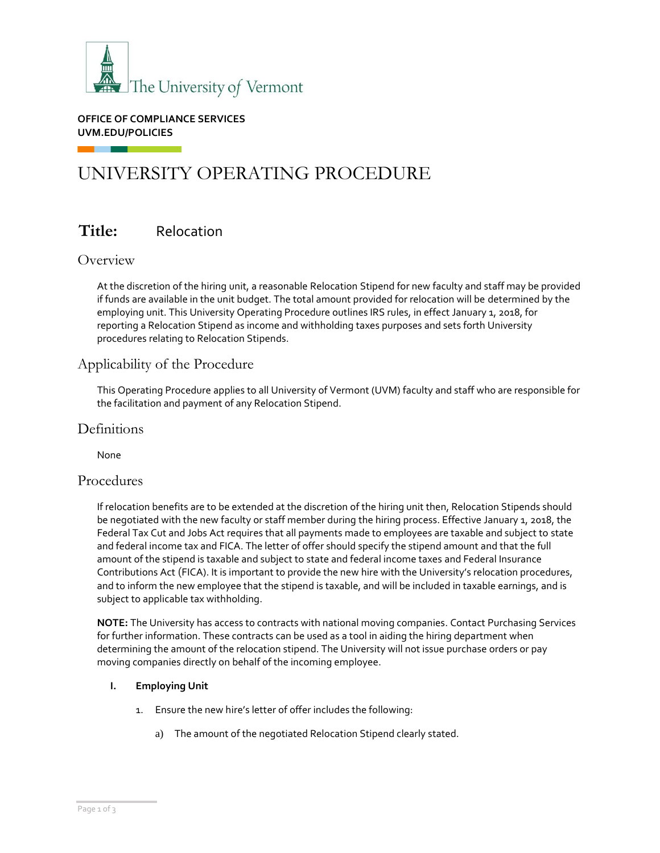

**OFFICE OF COMPLIANCE SERVICES UVM.EDU/POLICIES**

# UNIVERSITY OPERATING PROCEDURE

# **Title:** Relocation

### **Overview**

At the discretion of the hiring unit, a reasonable Relocation Stipend for new faculty and staff may be provided if funds are available in the unit budget. The total amount provided for relocation will be determined by the employing unit. This University Operating Procedure outlines IRS rules, in effect January 1, 2018, for reporting a Relocation Stipend as income and withholding taxes purposes and sets forth University procedures relating to Relocation Stipends.

### Applicability of the Procedure

This Operating Procedure applies to all University of Vermont (UVM) faculty and staff who are responsible for the facilitation and payment of any Relocation Stipend.

### **Definitions**

None

### Procedures

If relocation benefits are to be extended at the discretion of the hiring unit then, Relocation Stipends should be negotiated with the new faculty or staff member during the hiring process. Effective January 1, 2018, the Federal Tax Cut and Jobs Act requires that all payments made to employees are taxable and subject to state and federal income tax and FICA. The letter of offer should specify the stipend amount and that the full amount of the stipend is taxable and subject to state and federal income taxes and Federal Insurance Contributions Act (FICA). It is important to provide the new hire with the University's relocation procedures, and to inform the new employee that the stipend is taxable, and will be included in taxable earnings, and is subject to applicable tax withholding.

**NOTE:** The University has access to contracts with national moving companies. Contact Purchasing Services for further information. These contracts can be used as a tool in aiding the hiring department when determining the amount of the relocation stipend. The University will not issue purchase orders or pay moving companies directly on behalf of the incoming employee.

#### **I. Employing Unit**

- 1. Ensure the new hire's letter of offer includes the following:
	- a) The amount of the negotiated Relocation Stipend clearly stated.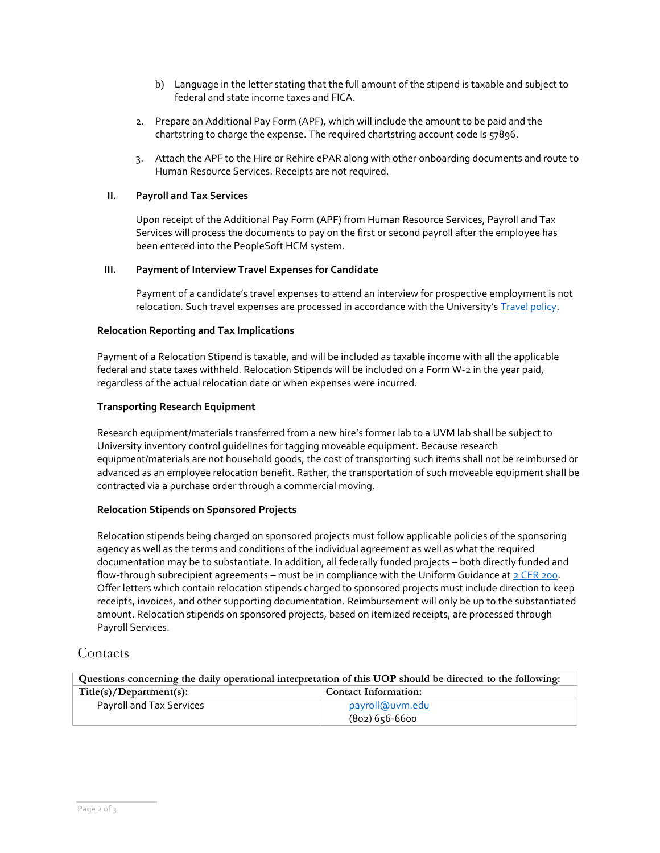- b) Language in the letter stating that the full amount of the stipend is taxable and subject to federal and state income taxes and FICA.
- 2. Prepare an Additional Pay Form (APF), which will include the amount to be paid and the chartstring to charge the expense. The required chartstring account code Is 57896.
- 3. Attach the APF to the Hire or Rehire ePAR along with other onboarding documents and route to Human Resource Services. Receipts are not required.

#### **II. Payroll and Tax Services**

Upon receipt of the Additional Pay Form (APF) from Human Resource Services, Payroll and Tax Services will process the documents to pay on the first or second payroll after the employee has been entered into the PeopleSoft HCM system.

#### **III. Payment of Interview Travel Expenses for Candidate**

Payment of a candidate's travel expenses to attend an interview for prospective employment is not relocation. Such travel expenses are processed in accordance with the University's [Travel policy.](https://www.uvm.edu/sites/default/files/UVM-Policies/policies/travel.pdf)

#### **Relocation Reporting and Tax Implications**

Payment of a Relocation Stipend is taxable, and will be included as taxable income with all the applicable federal and state taxes withheld. Relocation Stipends will be included on a Form W-2 in the year paid, regardless of the actual relocation date or when expenses were incurred.

#### **Transporting Research Equipment**

Research equipment/materials transferred from a new hire's former lab to a UVM lab shall be subject to University inventory control guidelines for tagging moveable equipment. Because research equipment/materials are not household goods, the cost of transporting such items shall not be reimbursed or advanced as an employee relocation benefit. Rather, the transportation of such moveable equipment shall be contracted via a purchase order through a commercial moving.

#### **Relocation Stipends on Sponsored Projects**

Relocation stipends being charged on sponsored projects must follow applicable policies of the sponsoring agency as well as the terms and conditions of the individual agreement as well as what the required documentation may be to substantiate. In addition, all federally funded projects – both directly funded and flow-through subrecipient agreements – must be in compliance with the Uniform Guidance a[t 2 CFR 200.](https://www.ecfr.gov/current/title-2/subtitle-A/chapter-II/part-200?toc=1) Offer letters which contain relocation stipends charged to sponsored projects must include direction to keep receipts, invoices, and other supporting documentation. Reimbursement will only be up to the substantiated amount. Relocation stipends on sponsored projects, based on itemized receipts, are processed through Payroll Services.

### **Contacts**

| Questions concerning the daily operational interpretation of this UOP should be directed to the following: |                             |  |  |
|------------------------------------------------------------------------------------------------------------|-----------------------------|--|--|
| Title(s)/Department(s):                                                                                    | <b>Contact Information:</b> |  |  |
| Payroll and Tax Services                                                                                   | payroll@uvm.edu             |  |  |
|                                                                                                            | (802) 656-6600              |  |  |